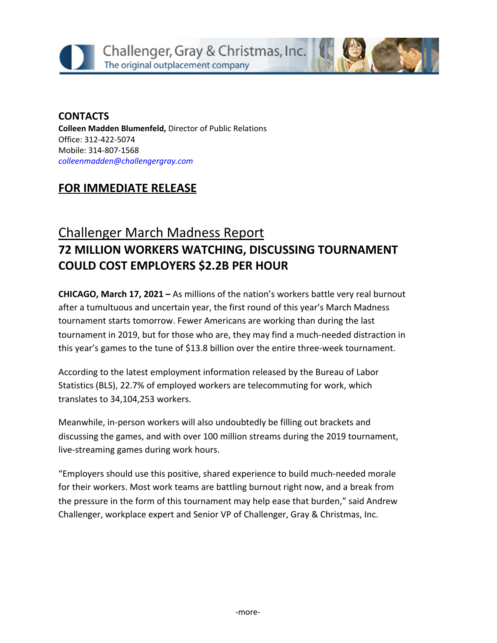### **CONTACTS Colleen Madden Blumenfeld,** Director of Public Relations Office: 312-422-5074 Mobile: 314-807-1568 *[colleenmadden@challengergray.com](mailto:colleenmadden@challengergray.com)*

## **FOR IMMEDIATE RELEASE**

# Challenger March Madness Report **72 MILLION WORKERS WATCHING, DISCUSSING TOURNAMENT COULD COST EMPLOYERS \$2.2B PER HOUR**

**CHICAGO, March 17, 2021 –** As millions of the nation's workers battle very real burnout after a tumultuous and uncertain year, the first round of this year's March Madness tournament starts tomorrow. Fewer Americans are working than during the last tournament in 2019, but for those who are, they may find a much-needed distraction in this year's games to the tune of \$13.8 billion over the entire three-week tournament.

According to the latest employment information released by the Bureau of Labor Statistics (BLS), 22.7% of employed workers are telecommuting for work, which translates to 34,104,253 workers.

Meanwhile, in-person workers will also undoubtedly be filling out brackets and discussing the games, and with over 100 million streams during the 2019 tournament, live-streaming games during work hours.

"Employers should use this positive, shared experience to build much-needed morale for their workers. Most work teams are battling burnout right now, and a break from the pressure in the form of this tournament may help ease that burden," said Andrew Challenger, workplace expert and Senior VP of Challenger, Gray & Christmas, Inc.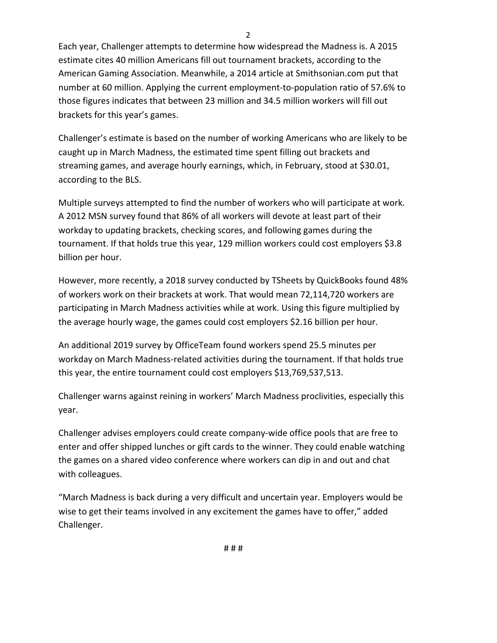Each year, Challenger attempts to determine how widespread the Madness is. A 2015 estimate cites 40 million Americans fill out tournament brackets, according to the American Gaming Association. Meanwhile, a 2014 article at Smithsonian.com put that number at 60 million. Applying the current employment-to-population ratio of 57.6% to those figures indicates that between 23 million and 34.5 million workers will fill out brackets for this year's games.

2

Challenger's estimate is based on the number of working Americans who are likely to be caught up in March Madness, the estimated time spent filling out brackets and streaming games, and average hourly earnings, which, in February, stood at \$30.01, according to the BLS.

Multiple surveys attempted to find the number of workers who will participate at work. A 2012 MSN survey found that 86% of all workers will devote at least part of their workday to updating brackets, checking scores, and following games during the tournament. If that holds true this year, 129 million workers could cost employers \$3.8 billion per hour.

However, more recently, a 2018 survey conducted by TSheets by QuickBooks found 48% of workers work on their brackets at work. That would mean 72,114,720 workers are participating in March Madness activities while at work. Using this figure multiplied by the average hourly wage, the games could cost employers \$2.16 billion per hour.

An additional 2019 survey by OfficeTeam found workers spend 25.5 minutes per workday on March Madness-related activities during the tournament. If that holds true this year, the entire tournament could cost employers \$13,769,537,513.

Challenger warns against reining in workers' March Madness proclivities, especially this year.

Challenger advises employers could create company-wide office pools that are free to enter and offer shipped lunches or gift cards to the winner. They could enable watching the games on a shared video conference where workers can dip in and out and chat with colleagues.

"March Madness is back during a very difficult and uncertain year. Employers would be wise to get their teams involved in any excitement the games have to offer," added Challenger.

# # #